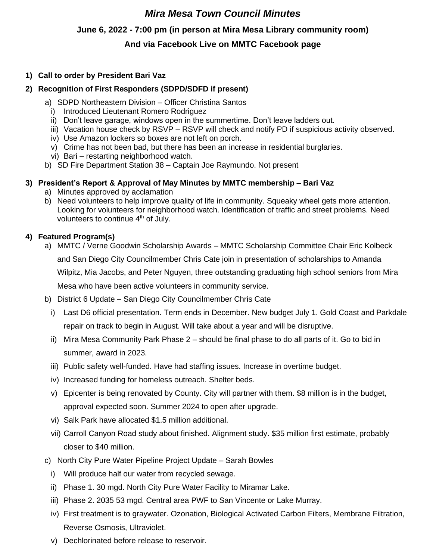## *Mira Mesa Town Council Minutes*

## **June 6, 2022 - 7:00 pm (in person at Mira Mesa Library community room)**

## **And via Facebook Live on MMTC Facebook page**

## **1) Call to order by President Bari Vaz**

### **2) Recognition of First Responders (SDPD/SDFD if present)**

- a) SDPD Northeastern Division Officer Christina Santos
	- i) Introduced Lieutenant Romero Rodriguez
	- ii) Don't leave garage, windows open in the summertime. Don't leave ladders out.
	- iii) Vacation house check by RSVP RSVP will check and notify PD if suspicious activity observed.
	- iv) Use Amazon lockers so boxes are not left on porch.
	- v) Crime has not been bad, but there has been an increase in residential burglaries.
	- vi) Bari restarting neighborhood watch.
- b) SD Fire Department Station 38 Captain Joe Raymundo. Not present

## **3) President's Report & Approval of May Minutes by MMTC membership – Bari Vaz**

- a) Minutes approved by acclamation
- b) Need volunteers to help improve quality of life in community. Squeaky wheel gets more attention. Looking for volunteers for neighborhood watch. Identification of traffic and street problems. Need volunteers to continue 4<sup>th</sup> of July.

## **4) Featured Program(s)**

- a) MMTC / Verne Goodwin Scholarship Awards MMTC Scholarship Committee Chair Eric Kolbeck and San Diego City Councilmember Chris Cate join in presentation of scholarships to Amanda Wilpitz, Mia Jacobs, and Peter Nguyen, three outstanding graduating high school seniors from Mira Mesa who have been active volunteers in community service.
- b) District 6 Update San Diego City Councilmember Chris Cate
	- i) Last D6 official presentation. Term ends in December. New budget July 1. Gold Coast and Parkdale repair on track to begin in August. Will take about a year and will be disruptive.
	- ii) Mira Mesa Community Park Phase 2 should be final phase to do all parts of it. Go to bid in summer, award in 2023.
	- iii) Public safety well-funded. Have had staffing issues. Increase in overtime budget.
	- iv) Increased funding for homeless outreach. Shelter beds.
	- v) Epicenter is being renovated by County. City will partner with them. \$8 million is in the budget, approval expected soon. Summer 2024 to open after upgrade.
	- vi) Salk Park have allocated \$1.5 million additional.
	- vii) Carroll Canyon Road study about finished. Alignment study. \$35 million first estimate, probably closer to \$40 million.
- c) North City Pure Water Pipeline Project Update Sarah Bowles
	- i) Will produce half our water from recycled sewage.
	- ii) Phase 1. 30 mgd. North City Pure Water Facility to Miramar Lake.
	- iii) Phase 2. 2035 53 mgd. Central area PWF to San Vincente or Lake Murray.
	- iv) First treatment is to graywater. Ozonation, Biological Activated Carbon Filters, Membrane Filtration, Reverse Osmosis, Ultraviolet.
	- v) Dechlorinated before release to reservoir.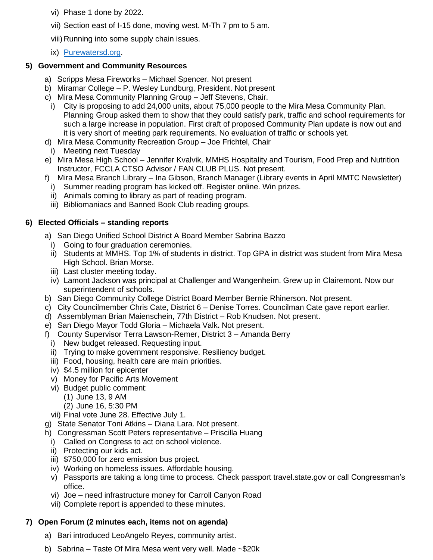- vi) Phase 1 done by 2022.
- vii) Section east of I-15 done, moving west. M-Th 7 pm to 5 am.
- viii) Running into some supply chain issues.
- ix) [Purewatersd.org.](https://www.sandiego.gov/public-utilities/sustainability/pure-water-sd)

## **5) Government and Community Resources**

- a) Scripps Mesa Fireworks Michael Spencer. Not present
- b) Miramar College P. Wesley Lundburg, President. Not present
- c) Mira Mesa Community Planning Group Jeff Stevens, Chair.
- i) City is proposing to add 24,000 units, about 75,000 people to the Mira Mesa Community Plan. Planning Group asked them to show that they could satisfy park, traffic and school requirements for such a large increase in population. First draft of proposed Community Plan update is now out and it is very short of meeting park requirements. No evaluation of traffic or schools yet.
- d) Mira Mesa Community Recreation Group Joe Frichtel, Chair
- i) Meeting next Tuesday
- e) Mira Mesa High School Jennifer Kvalvik, MMHS Hospitality and Tourism, Food Prep and Nutrition Instructor, FCCLA CTSO Advisor / FAN CLUB PLUS. Not present.
- f) Mira Mesa Branch Library Ina Gibson, Branch Manager (Library events in April MMTC Newsletter)
- i) Summer reading program has kicked off. Register online. Win prizes.
- ii) Animals coming to library as part of reading program.
- iii) Bibliomaniacs and Banned Book Club reading groups.

## **6) Elected Officials – standing reports**

- a) San Diego Unified School District A Board Member Sabrina Bazzo
	- i) Going to four graduation ceremonies.
	- ii) Students at MMHS. Top 1% of students in district. Top GPA in district was student from Mira Mesa High School. Brian Morse.
	- iii) Last cluster meeting today.
	- iv) Lamont Jackson was principal at Challenger and Wangenheim. Grew up in Clairemont. Now our superintendent of schools.
- b) San Diego Community College District Board Member Bernie Rhinerson. Not present.
- c) City Councilmember Chris Cate, District 6 Denise Torres. Councilman Cate gave report earlier.
- d) Assemblyman Brian Maienschein, 77th District Rob Knudsen. Not present.
- e) San Diego Mayor Todd Gloria Michaela Valk**.** Not present.
- f) County Supervisor Terra Lawson-Remer, District 3 Amanda Berry
- i) New budget released. Requesting input.
- ii) Trying to make government responsive. Resiliency budget.
- iii) Food, housing, health care are main priorities.
- iv) \$4.5 million for epicenter
- v) Money for Pacific Arts Movement
- vi) Budget public comment:
	- (1) June 13, 9 AM
	- (2) June 16, 5:30 PM
- vii) Final vote June 28. Effective July 1.
- g) State Senator Toni Atkins Diana Lara. Not present.
- h) Congressman Scott Peters representative Priscilla Huang
	- i) Called on Congress to act on school violence.
	- ii) Protecting our kids act.
	- iii) \$750,000 for zero emission bus project.
	- iv) Working on homeless issues. Affordable housing.
	- v) Passports are taking a long time to process. Check passport travel.state.gov or call Congressman's office.
	- vi) Joe need infrastructure money for Carroll Canyon Road
	- vii) Complete report is appended to these minutes.

## **7) Open Forum (2 minutes each, items not on agenda)**

- a) Bari introduced LeoAngelo Reyes, community artist.
- b) Sabrina Taste Of Mira Mesa went very well. Made ~\$20k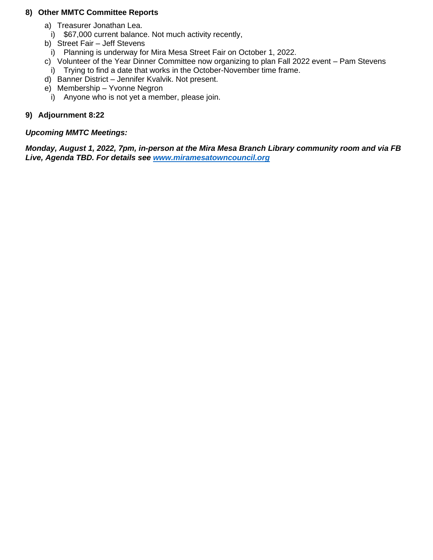### **8) Other MMTC Committee Reports**

- a) Treasurer Jonathan Lea.
- i) \$67,000 current balance. Not much activity recently,
- b) Street Fair Jeff Stevens
	- i) Planning is underway for Mira Mesa Street Fair on October 1, 2022.
- c) Volunteer of the Year Dinner Committee now organizing to plan Fall 2022 event Pam Stevens
- i) Trying to find a date that works in the October-November time frame.
- d) Banner District Jennifer Kvalvik. Not present.
- e) Membership Yvonne Negron
	- i) Anyone who is not yet a member, please join.

## **9) Adjournment 8:22**

#### *Upcoming MMTC Meetings:*

*Monday, August 1, 2022, 7pm, in-person at the Mira Mesa Branch Library community room and via FB Live, Agenda TBD. For details see [www.miramesatowncouncil.org](http://www.miramesatowncouncil.org/)*